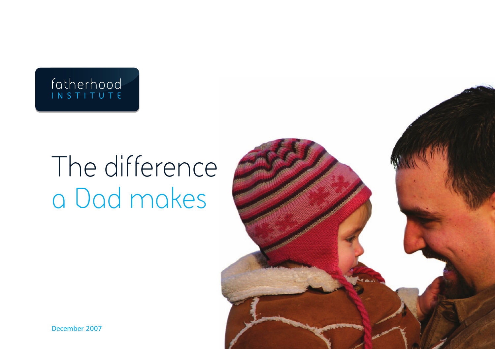## fatherhood<br>INSTITUTE

# The difference a Dad makes



December 2007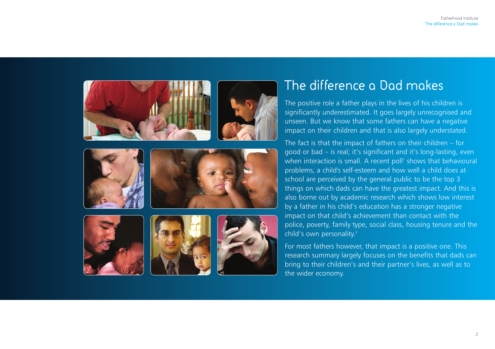

## **The difference a Dad makes**

The positive role a father plays in the lives of his children is significantly underestimated. It goes largely unrecognised and unseen. But we know that some fathers can have a negative impact on their children and that is also largely understated.

The fact is that the impact of fathers on their children – for good or bad – is real; it's significant and it's long-lasting, even when interaction is small. A recent poll1 shows that behavioural problems, a child's self-esteem and how well a child does at school are perceived by the general public to be the top 3 things on which dads can have the greatest impact. And this is also borne out by academic research which shows low interest by a father in his child's education has a stronger negative impact on that child's achievement than contact with the police, poverty, family type, social class, housing tenure and the child's own personality. 2

For most fathers however, that impact is a positive one. This research summary largely focuses on the benefits that dads can bring to their children's and their partner's lives, as well as to the wider economy.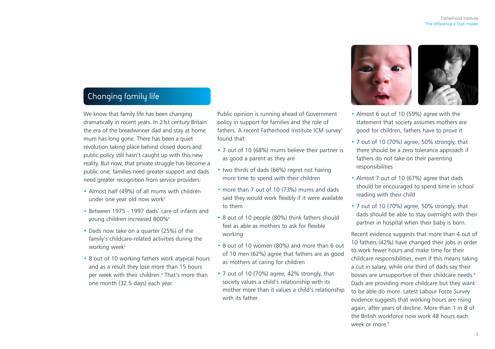## **Changing family life**

We know that family life has been changing dramatically in recent years. In 21st century Britain the era of the breadwinner dad and stay at home mum has long gone. There has been a quiet revolution taking place behind closed doors and public policy still hasn't caught up with this new reality. But now, that private struggle has become a public one; families need greater support and dads need greater recognition from service providers:

- Almost half (49%) of all mums with children under one year old now work<sup>3</sup>
- Between 1975 1997 dads' care of infants and young children increased 800%4
- Dads now take on a quarter (25%) of the family's childcare-related activities during the working week<sup>5</sup>
- 8 out of 10 working fathers work atypical hours and as a result they lose more than 15 hours per week with their children.<sup>6</sup> That's more than one month (32.5 days) each year.

Public opinion is running ahead of Government policy in support for families and the role of fathers. A recent Fatherhood Institute ICM survey<sup>7</sup> found that:

- 7 out of 10 (68%) mums believe their partner is as good a parent as they are
- two thirds of dads (66%) regret not having more time to spend with their children
- more than 7 out of 10 (73%) mums and dads said they would work flexibly if it were available to them
- 8 out of 10 people (80%) think fathers should feel as able as mothers to ask for flexible working
- 8 out of 10 women (80%) and more than 6 out of 10 men (62%) agree that fathers are as good as mothers at caring for children
- 7 out of 10 (70%) agree, 42% strongly, that society values a child's relationship with its mother more than it values a child's relationship with its father



- Almost 6 out of 10 (59%) agree with the statement that society assumes mothers are good for children, fathers have to prove it
- 7 out of 10 (70%) agree, 50% strongly, that there should be a zero tolerance approach if fathers do not take on their parenting responsibilities
- Almost 7 out of 10 (67%) agree that dads should be encouraged to spend time in school reading with their child
- 7 out of 10 (70%) agree, 50% strongly, that dads should be able to stay overnight with their partner in hospital when their baby is born.

Recent evidence suggests that more than 4 out of 10 fathers (42%) have changed their jobs in order to work fewer hours and make time for their childcare responsibilities, even if this means taking a cut in salary, while one third of dads say their bosses are unsupportive of their childcare needs.<sup>8</sup> Dads are providing more childcare but they want to be able do more. Latest Labour Force Survey evidence suggests that working hours are rising again, after years of decline. More than 1 in 8 of the British workforce now work 48 hours each week or more.<sup>9</sup>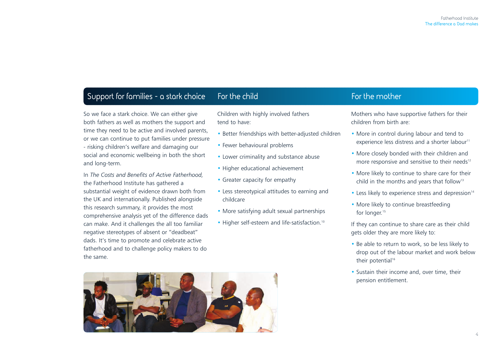## **Support for families - a stark choice For the child For the mother**

So we face a stark choice. We can either give both fathers as well as mothers the support and time they need to be active and involved parents, or we can continue to put families under pressure - risking children's welfare and damaging our social and economic wellbeing in both the short and long-term.

In *The Costs and Benefits of Active Fatherhood,* the Fatherhood Institute has gathered a substantial weight of evidence drawn both from the UK and internationally. Published alongside this research summary, it provides the most comprehensive analysis yet of the difference dads can make. And it challenges the all too familiar negative stereotypes of absent or "deadbeat" dads. It's time to promote and celebrate active fatherhood and to challenge policy makers to do the same.

Children with highly involved fathers tend to have:

- Better friendships with better-adjusted children
- Fewer behavioural problems
- Lower criminality and substance abuse
- Higher educational achievement
- Greater capacity for empathy
- Less stereotypical attitudes to earning and childcare
- More satisfying adult sexual partnerships
- Higher self-esteem and life-satisfaction.<sup>10</sup>



Mothers who have supportive fathers for their children from birth are:

- More in control during labour and tend to experience less distress and a shorter labour<sup>11</sup>
- More closely bonded with their children and more responsive and sensitive to their needs<sup>12</sup>
- More likely to continue to share care for their child in the months and years that follow<sup>13</sup>
- $\bullet$  Less likely to experience stress and depression<sup>14</sup>
- More likely to continue breastfeeding for longer. 15

If they can continue to share care as their child gets older they are more likely to:

- Be able to return to work, so be less likely to drop out of the labour market and work below their potential<sup>16</sup>
- Sustain their income and, over time, their pension entitlement.

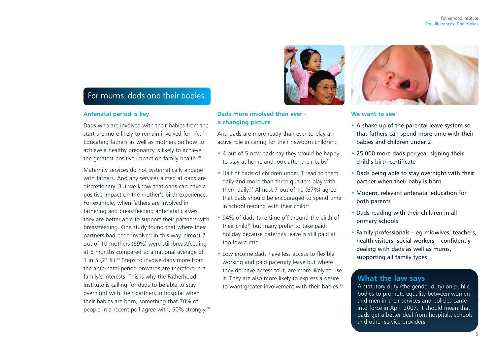## **For mums, dads and their babies**

#### **Antenatal period is key**

Dads who are involved with their babies from the start are more likely to remain involved for life.<sup>17</sup> Educating fathers as well as mothers on how to achieve a healthy pregnancy is likely to achieve the greatest positive impact on family health.<sup>18</sup>

Maternity services do not systematically engage with fathers. And any services aimed at dads are discretionary. But we know that dads can have a positive impact on the mother's birth experience. For example, when fathers are involved in fathering and breastfeeding antenatal classes, they are better able to support their partners with breastfeeding. One study found that where their partners had been involved in this way, almost 7 out of 10 mothers (69%) were still breastfeeding at 6 months compared to a national average of 1 in 5 (21%).<sup>19</sup> Steps to involve dads more from the ante-natal period onwards are therefore in a family's interests. This is why the Fatherhood Institute is calling for dads to be able to stay overnight with their partners in hospital when their babies are born, something that 70% of people in a recent poll agree with, 50% strongly. 20

#### **Dads more involved than ever a changing picture**

And dads are more ready than ever to play an active role in caring for their newborn children:

- 4 out of 5 new dads say they would be happy to stay at home and look after their baby<sup>21</sup>
- Half of dads of children under 3 read to them daily and more than three quarters play with them daily. <sup>22</sup> Almost 7 out of 10 (67%) agree that dads should be encouraged to spend time in school reading with their child $23$
- 94% of dads take time off around the birth of their child<sup>24</sup> but many prefer to take paid holiday because paternity leave is still paid at too low a rate.
- Low income dads have less access to flexible working and paid paternity leave but where they do have access to it, are more likely to use it. They are also more likely to express a desire to want greater involvement with their babies.<sup>25</sup>





#### **We want to see:**

- A shake up of the parental leave system so that fathers can spend more time with their babies and children under 2
- 25,000 more dads per year signing their child's birth certificate
- Dads being able to stay overnight with their partner when their baby is born
- Modern, relevant antenatal education for both parents
- Dads reading with their children in all primary schools
- Family professionals eg midwives, teachers, health visitors, social workers – confidently dealing with dads as well as mums, supporting all family types.

#### **What the law says**

A statutory duty (the gender duty) on public bodies to promote equality between women and men in their services and policies came into force in April 2007. It should mean that dads get a better deal from hospitals, schools and other service providers.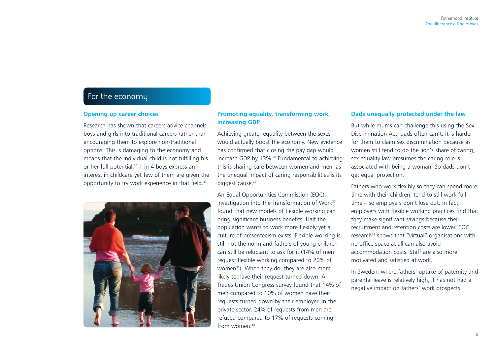## **For the economy**

#### **Opening up career choices**

Research has shown that careers advice channels boys and girls into traditional careers rather than encouraging them to explore non-traditional options. This is damaging to the economy and means that the individual child is not fulfilling his or her full potential.<sup>26</sup> 1 in 4 boys express an interest in childcare yet few of them are given the opportunity to try work experience in that field.<sup>27</sup>



#### **Promoting equality, transforming work, increasing GDP**

Achieving greater equality between the sexes would actually boost the economy. New evidence has confirmed that closing the pay gap would increase GDP by 13%.<sup>28</sup> Fundamental to achieving this is sharing care between women and men, as the unequal impact of caring responsibilities is its biggest cause.<sup>29</sup>

An Equal Opportunities Commission (EOC) investigation into the Transformation of Work<sup>30</sup> found that new models of flexible working can bring significant business benefits. Half the population wants to work more flexibly yet a culture of presenteeism exists. Flexible working is still not the norm and fathers of young children can still be reluctant to ask for it (14% of men request flexible working compared to 20% of women<sup>31</sup>). When they do, they are also more likely to have their request turned down. A Trades Union Congress survey found that 14% of men compared to 10% of women have their requests turned down by their employer. In the private sector, 24% of requests from men are refused compared to 17% of requests coming from women $32$ 

#### **Dads unequally protected under the law**

But while mums can challenge this using the Sex Discrimination Act, dads often can't. It is harder for them to claim sex discrimination because as women still tend to do the lion's share of caring, sex equality law presumes the caring role is associated with being a woman. So dads don't get equal protection.

Fathers who work flexibly so they can spend more time with their children, tend to still work fulltime – so employers don't lose out. In fact, employers with flexible working practices find that they make significant savings because their recruitment and retention costs are lower. EOC research<sup>33</sup> shows that "virtual" organisations with no office space at all can also avoid accommodation costs. Staff are also more motivated and satisfied at work.

In Sweden, where fathers' uptake of paternity and parental leave is relatively high, it has not had a negative impact on fathers' work prospects.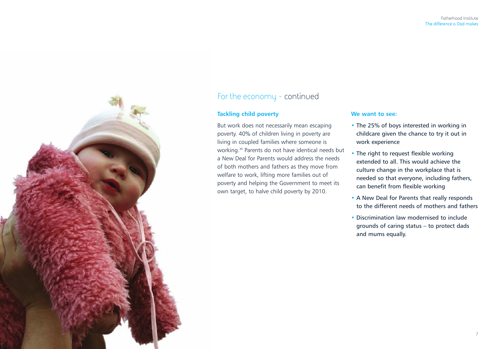

## For the economy - continued

#### **Tackling child poverty**

But work does not necessarily mean escaping poverty. 40% of children living in poverty are living in coupled families where someone is working.34 Parents do not have identical needs but a New Deal for Parents would address the needs of both mothers and fathers as they move from welfare to work, lifting more families out of poverty and helping the Government to meet its own target, to halve child poverty by 2010.

#### **We want to see:**

- The 25% of boys interested in working in childcare given the chance to try it out in work experience
- The right to request flexible working extended to all. This would achieve the culture change in the workplace that is needed so that everyone, including fathers, can benefit from flexible working
- A New Deal for Parents that really responds to the different needs of mothers and fathers
- Discrimination law modernised to include grounds of caring status – to protect dads and mums equally.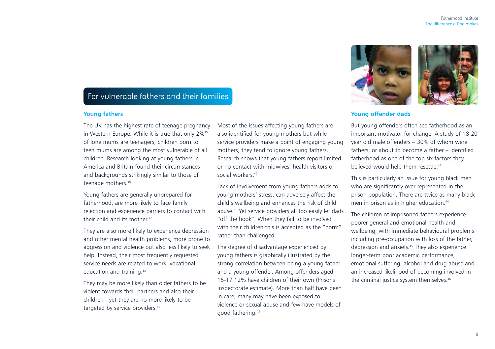## **For vulnerable fathers and their families**

#### **Young fathers**

The UK has the highest rate of teenage pregnancy in Western Europe. While it is true that only 2%<sup>35</sup> of lone mums are teenagers, children born to teen mums are among the most vulnerable of all children. Research looking at young fathers in America and Britain found their circumstances and backgrounds strikingly similar to those of teenage mothers.<sup>36</sup>

Young fathers are generally unprepared for fatherhood, are more likely to face family rejection and experience barriers to contact with their child and its mother. 37

They are also more likely to experience depression and other mental health problems, more prone to aggression and violence but also less likely to seek help. Instead, their most frequently requested service needs are related to work, vocational education and training.<sup>38</sup>

They may be more likely than older fathers to be violent towards their partners and also their children - yet they are no more likely to be targeted by service providers.<sup>39</sup>

Most of the issues affecting young fathers are also identified for young mothers but while service providers make a point of engaging young mothers, they tend to ignore young fathers. Research shows that young fathers report limited or no contact with midwives, health visitors or social workers.<sup>40</sup>

Lack of involvement from young fathers adds to young mothers' stress, can adversely affect the child's wellbeing and enhances the risk of child abuse.41 Yet service providers all too easily let dads "off the hook". When they fail to be involved with their children this is accepted as the "norm" rather than challenged.

The degree of disadvantage experienced by young fathers is graphically illustrated by the strong correlation between being a young father and a young offender. Among offenders aged 15-17 12% have children of their own (Prisons Inspectorate estimate). More than half have been in care, many may have been exposed to violence or sexual abuse and few have models of good fathering.42



#### **Young offender dads**

But young offenders often see fatherhood as an important motivator for change. A study of 18-20 year old male offenders – 30% of whom were fathers, or about to become a father – identified fatherhood as one of the top six factors they believed would help them resettle.<sup>43</sup>

This is particularly an issue for young black men who are significantly over represented in the prison population. There are twice as many black men in prison as in higher education.<sup>44</sup>

The children of imprisoned fathers experience poorer general and emotional health and wellbeing, with immediate behavioural problems including pre-occupation with loss of the father, depression and anxiety. <sup>45</sup> They also experience longer-term poor academic performance, emotional suffering, alcohol and drug abuse and an increased likelihood of becoming involved in the criminal justice system themselves.<sup>46</sup>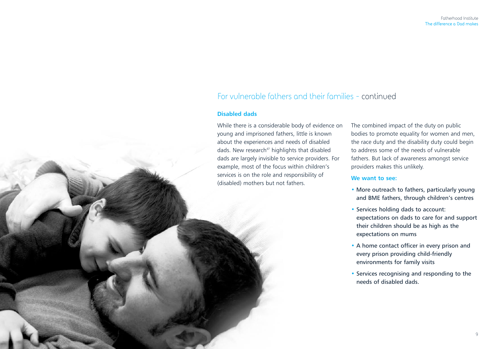## For vulnerable fathers and their families - continued

#### **Disabled dads**

While there is a considerable body of evidence on young and imprisoned fathers, little is known about the experiences and needs of disabled dads. New research<sup>47</sup> highlights that disabled dads are largely invisible to service providers. For example, most of the focus within children's services is on the role and responsibility of (disabled) mothers but not fathers.

The combined impact of the duty on public bodies to promote equality for women and men, the race duty and the disability duty could begin to address some of the needs of vulnerable fathers. But lack of awareness amongst service providers makes this unlikely.

#### **We want to see:**

- More outreach to fathers, particularly young and BME fathers, through children's centres
- Services holding dads to account: expectations on dads to care for and support their children should be as high as the expectations on mums
- A home contact officer in every prison and every prison providing child-friendly environments for family visits
- Services recognising and responding to the needs of disabled dads.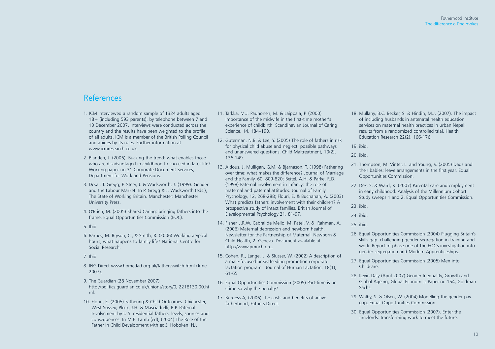### **References**

- 1. ICM interviewed a random sample of 1324 adults aged 18+ (including 593 parents), by telephone between 7 and 13 December 2007. Interviews were conducted across the country and the results have been weighted to the profile of all adults. ICM is a member of the British Polling Council and abides by its rules. Further information at www.icmresearch.co.uk
- 2. Blanden, J. (2006). Bucking the trend: what enables those who are disadvantaged in childhood to succeed in later life? Working paper no 31 Corporate Document Services, Department for Work and Pensions.
- 3. Desai, T. Gregg, P. Steer, J. & Wadsworth, J. (1999). Gender and the Labour Market. In P. Gregg & J. Wadsworth (eds.), The State of Working Britain. Manchester: Manchester University Press.
- 4. O'Brien, M. (2005) Shared Caring: bringing fathers into the frame. Equal Opportunities Commission (EOC).
- 5. Ibid.
- 6. Barnes, M. Bryson, C., & Smith, R. (2006) Working atypical hours, what happens to family life? National Centre for Social Research.
- 7. Ibid.
- 8. ING Direct www.homedad.org.uk/fathersswitch.html (June 2007).
- 9. The Guardian (28 November 2007) http://politics.guardian.co.uk/unions/story/0,,2218130,00.ht ml.
- 10. Flouri, E. (2005) Fathering & Child Outcomes. Chichester, West Sussex; Pleck, J.H. & Masciadrelli, B.P. Paternal Involvement by U.S. residential fathers: levels, sources and consequences. In M.E. Lamb (ed), (2004) The Role of the Father in Child Development (4th ed.). Hoboken, NJ.
- 11. Tarkka, M.J. Paunonen, M. & Laippala, P. (2000) Importance of the midwife in the first-time mother's experience of childbirth. Scandinavian Journal of Caring Science, 14, 184–190.
- 12. Guterman, N.B. & Lee, Y. (2005) The role of fathers in risk for physical child abuse and neglect: possible pathways and unanswered questions. Child Maltreatment, 10(2), 136-149.
- 13. Aldous, J. Mulligan, G.M. & Bjarnason, T. (1998) Fathering over time: what makes the difference? Journal of Marriage and the Family, 60, 809-820; Beitel, A.H. & Parke, R.D. (1998) Paternal involvement in infancy: the role of maternal and paternal attitudes. Journal of Family Psychology, 12, 268-288; Flouri, E. & Buchanan, A. (2003) What predicts fathers' involvement with their children? A prospective study of intact families. British Journal of Developmental Psychology 21, 81-97.
- 14. Fisher, J.R.W. Cabral de Mello, M. Patel, V. & Rahman, A. (2006) Maternal depression and newborn health. Newsletter for the Partnership of Maternal, Newborn & Child Health, 2. Geneva. Document available at http://www.pmnch.org.
- 15. Cohen, R., Lange, L. & Slusser, W. (2002) A description of a male-focused breastfeeding promotion corporate lactation program. Journal of Human Lactation, 18(1), 61-65.
- 16. Equal Opportunities Commission (2005) Part-time is no crime so why the penalty?
- 17. Burgess A, (2006) The costs and benefits of active fatherhood, Fathers Direct.
- 18. Mullany, B.C. Becker, S. & Hindin, M.J. (2007). The impact of including husbands in antenatal health education services on maternal health practices in urban Nepal: results from a randomized controlled trial. Health Education Research 22(2), 166-176.
- 19. ibid.
- 20. ibid.
- 21. Thompson, M. Vinter, L. and Young, V. (2005) Dads and their babies: leave arrangements in the first year. Equal Opportunities Commission.
- 22. Dex, S. & Ward, K. (2007) Parental care and employment in early childhood. Analysis of the Millennium Cohort Study sweeps 1 and 2. Equal Opportunities Commission.
- 23. ibid.
- 24. ibid.
- 25. ibid.
- 26. Equal Opportunities Commission (2004) Plugging Britain's skills gap: challenging gender segregation in training and work. Report of phase one of the EOC's investigation into gender segregation and Modern Apprenticeships.
- 27. Equal Opportunities Commission (2005) Men into Childcare.
- 28. Kevin Daly (April 2007) Gender Inequality, Growth and Global Ageing, Global Economics Paper no.154, Goldman Sachs.
- 29. Walby, S. & Olsen, W. (2004) Modelling the gender pay gap. Equal Opportunities Commission.
- 30. Equal Opportunities Commission (2007). Enter the timelords: transforming work to meet the future.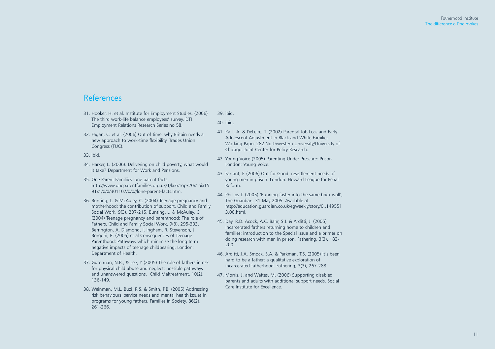### **References**

- 31. Hooker, H. et al. Institute for Employment Studies. (2006) The third work-life balance employees' survey. DTI Employment Relations Research Series no 58.
- 32. Fagan, C. et al. (2006) Out of time: why Britain needs a new approach to work-time flexibility. Trades Union Congress (TUC).

33. ibid.

- 34. Harker, L. (2006). Delivering on child poverty, what would it take? Department for Work and Pensions.
- 35. One Parent Familiies lone parent facts http://www.oneparentfamilies.org.uk/1/lx3x1opx20x1oix15 91x1/0/0/301107/0/0//lone-parent-facts.htm.
- 36. Bunting, L. & McAuley, C. (2004) Teenage pregnancy and motherhood: the contribution of support. Child and Family Social Work, 9(3), 207-215. Bunting, L. & McAuley, C. (2004) Teenage pregnancy and parenthood: The role of Fathers. Child and Family Social Work, 9(3), 295-303. Berrington, A. Diamond, I. Ingham, R. Stevenson, J. Borgoni, R. (2005) et al Consequences of Teenage Parenthood: Pathways which minimise the long term negative impacts of teenage childbearing. London: Department of Health.
- 37. Guterman, N.B., & Lee, Y (2005) The role of fathers in risk for physical child abuse and neglect: possible pathways and unanswered questions. Child Maltreatment, 10(2), 136-149.
- 38. Weinman, M.L. Buzi, R.S. & Smith, P.B. (2005) Addressing risk behaviours, service needs and mental health issues in programs for young fathers. Families in Society, 86(2), 261-266.

#### 39. ibid.

40. ibid.

- 41. Kalil, A. & DeLeire, T. (2002) Parental Job Loss and Early Adolescent Adjustment in Black and White Families. Working Paper 282 Northwestern University/University of Chicago: Joint Center for Policy Research.
- 42. Young Voice (2005) Parenting Under Pressure: Prison. London: Young Voice.
- 43. Farrant, F. (2006) Out for Good: resettlement needs of young men in prison. London: Howard League for Penal Reform.
- 44. Phillips T. (2005) 'Running faster into the same brick wall', The Guardian, 31 May 2005. Available at: http://education.guardian.co.uk/egweekly/story/0,,149551 3,00.html.
- 45. Day, R.D. Acock, A.C. Bahr, S.J. & Arditti, J. (2005) Incarcerated fathers returning home to children and families: introduction to the Special Issue and a primer on doing research with men in prison. Fathering, 3(3), 183- 200.
- 46. Arditti, J.A. Smock, S.A. & Parkman, T.S. (2005) It's been hard to be a father: a qualitative exploration of incarcerated fatherhood. Fathering, 3(3), 267-288.
- 47. Morris, J. and Waites, M. (2006) Supporting disabled parents and adults with additional support needs. Social Care Institute for Excellence.